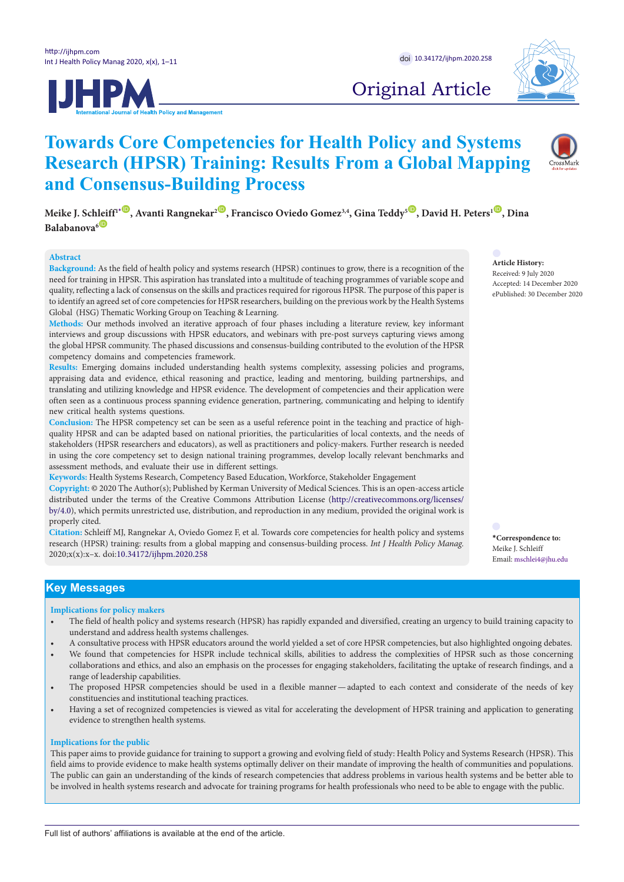



Original Article

# **Towards Core Competencies for Health Policy and Systems Research (HPSR) Training: Results From a Global Mapping and Consensus-Building Process**

**Meike J. Schleiff<sup>1</sub><sup>.</sup> D.** Avanti Rangnekar<sup>2</sup> **D.** Francisco Oviedo Gomez<sup>3,4</sup>, Gina Teddy<sup>5</sub> **D**. David H. Peters<sup>1</sup> **D.** Dina</sup></sup> Balabanova<sup>6</sub></sup>

#### **Abstract**

**Background:** As the field of health policy and systems research (HPSR) continues to grow, there is a recognition of the need for training in HPSR. This aspiration has translated into a multitude of teaching programmes of variable scope and quality, reflecting a lack of consensus on the skills and practices required for rigorous HPSR. The purpose of this paper is to identify an agreed set of core competencies for HPSR researchers, building on the previous work by the Health Systems Global (HSG) Thematic Working Group on Teaching & Learning.

**Methods:** Our methods involved an iterative approach of four phases including a literature review, key informant interviews and group discussions with HPSR educators, and webinars with pre-post surveys capturing views among the global HPSR community. The phased discussions and consensus-building contributed to the evolution of the HPSR competency domains and competencies framework.

**Results:** Emerging domains included understanding health systems complexity, assessing policies and programs, appraising data and evidence, ethical reasoning and practice, leading and mentoring, building partnerships, and translating and utilizing knowledge and HPSR evidence. The development of competencies and their application were often seen as a continuous process spanning evidence generation, partnering, communicating and helping to identify new critical health systems questions.

**Conclusion:** The HPSR competency set can be seen as a useful reference point in the teaching and practice of highquality HPSR and can be adapted based on national priorities, the particularities of local contexts, and the needs of stakeholders (HPSR researchers and educators), as well as practitioners and policy-makers. Further research is needed in using the core competency set to design national training programmes, develop locally relevant benchmarks and assessment methods, and evaluate their use in different settings.

**Keywords:** Health Systems Research, Competency Based Education, Workforce, Stakeholder Engagement

**Copyright:** © 2020 The Author(s); Published by Kerman University of Medical Sciences. This is an open-access article distributed under the terms of the Creative Commons Attribution License [\(http://creativecommons.org/licenses/](http://creativecommons.org/licenses/by/4.0) [by/4.0\)](http://creativecommons.org/licenses/by/4.0), which permits unrestricted use, distribution, and reproduction in any medium, provided the original work is properly cited.

**Citation:** Schleiff MJ, Rangnekar A, Oviedo Gomez F, et al. Towards core competencies for health policy and systems research (HPSR) training: results from a global mapping and consensus-building process. *Int J Health Policy Manag.*  2020;x(x):x–x. doi[:10.34172/ijhpm.2020.258](https://doi.org/10.34172/ijhpm.2020.258)

Accepted: 14 December 2020 ePublished: 30 December 2020

**Article History:** Received: 9 July 2020

<span id="page-0-0"></span>**\*Correspondence to:** Meike J. Schleiff Email: mschlei4@jhu.edu

# **Key Messages**

**Implications for policy makers**

- The field of health policy and systems research (HPSR) has rapidly expanded and diversified, creating an urgency to build training capacity to understand and address health systems challenges.
- A consultative process with HPSR educators around the world yielded a set of core HPSR competencies, but also highlighted ongoing debates.
- We found that competencies for HSPR include technical skills, abilities to address the complexities of HPSR such as those concerning collaborations and ethics, and also an emphasis on the processes for engaging stakeholders, facilitating the uptake of research findings, and a range of leadership capabilities.
- The proposed HPSR competencies should be used in a flexible manner—adapted to each context and considerate of the needs of key constituencies and institutional teaching practices.
- Having a set of recognized competencies is viewed as vital for accelerating the development of HPSR training and application to generating evidence to strengthen health systems.

#### **Implications for the public**

This paper aims to provide guidance for training to support a growing and evolving field of study: Health Policy and Systems Research (HPSR). This field aims to provide evidence to make health systems optimally deliver on their mandate of improving the health of communities and populations. The public can gain an understanding of the kinds of research competencies that address problems in various health systems and be better able to be involved in health systems research and advocate for training programs for health professionals who need to be able to engage with the public.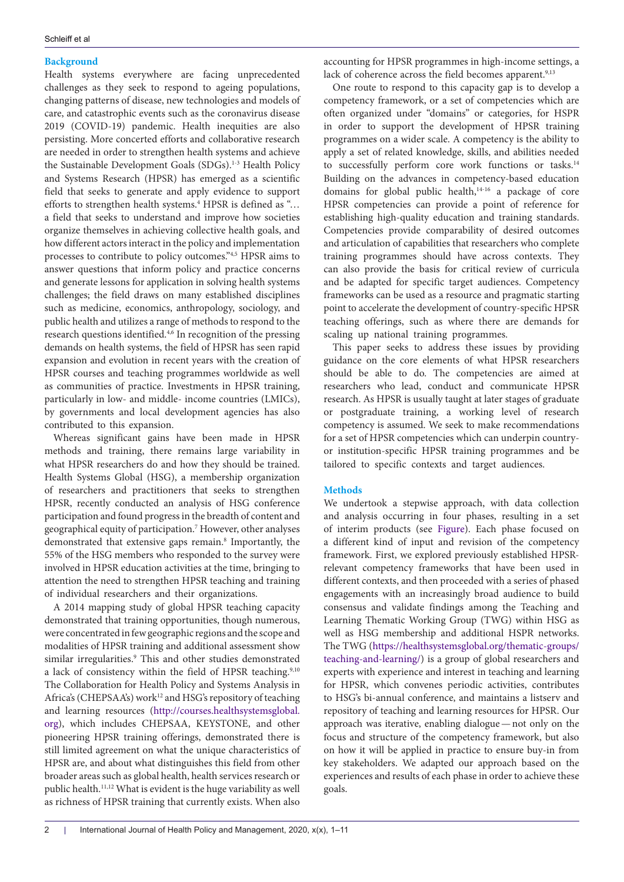## **Background**

Health systems everywhere are facing unprecedented challenges as they seek to respond to ageing populations, changing patterns of disease, new technologies and models of care, and catastrophic events such as the coronavirus disease 2019 (COVID-19) pandemic. Health inequities are also persisting. More concerted efforts and collaborative research are needed in order to strengthen health systems and achieve the Sustainable Development Goals (SDGs).<sup>1-3</sup> Health Policy and Systems Research (HPSR) has emerged as a scientific field that seeks to generate and apply evidence to support efforts to strengthen health systems.<sup>4</sup> HPSR is defined as "... a field that seeks to understand and improve how societies organize themselves in achieving collective health goals, and how different actors interact in the policy and implementation processes to contribute to policy outcomes."4,5 HPSR aims to answer questions that inform policy and practice concerns and generate lessons for application in solving health systems challenges; the field draws on many established disciplines such as medicine, economics, anthropology, sociology, and public health and utilizes a range of methods to respond to the research questions identified.4,6 In recognition of the pressing demands on health systems, the field of HPSR has seen rapid expansion and evolution in recent years with the creation of HPSR courses and teaching programmes worldwide as well as communities of practice. Investments in HPSR training, particularly in low- and middle- income countries (LMICs), by governments and local development agencies has also contributed to this expansion.

Whereas significant gains have been made in HPSR methods and training, there remains large variability in what HPSR researchers do and how they should be trained. Health Systems Global (HSG), a membership organization of researchers and practitioners that seeks to strengthen HPSR, recently conducted an analysis of HSG conference participation and found progress in the breadth of content and geographical equity of participation.7 However, other analyses demonstrated that extensive gaps remain.<sup>8</sup> Importantly, the 55% of the HSG members who responded to the survey were involved in HPSR education activities at the time, bringing to attention the need to strengthen HPSR teaching and training of individual researchers and their organizations.

A 2014 mapping study of global HPSR teaching capacity demonstrated that training opportunities, though numerous, were concentrated in few geographic regions and the scope and modalities of HPSR training and additional assessment show similar irregularities.<sup>9</sup> This and other studies demonstrated a lack of consistency within the field of HPSR teaching.<sup>9,10</sup> The Collaboration for Health Policy and Systems Analysis in Africa's (CHEPSAA's) work<sup>12</sup> and HSG's repository of teaching and learning resources ([http://courses.healthsystemsglobal.](http://courses.healthsystemsglobal.org) [org\)](http://courses.healthsystemsglobal.org), which includes CHEPSAA, KEYSTONE, and other pioneering HPSR training offerings, demonstrated there is still limited agreement on what the unique characteristics of HPSR are, and about what distinguishes this field from other broader areas such as global health, health services research or public health.11,12 What is evident is the huge variability as well as richness of HPSR training that currently exists. When also

accounting for HPSR programmes in high-income settings, a lack of coherence across the field becomes apparent.<sup>9,13</sup>

One route to respond to this capacity gap is to develop a competency framework, or a set of competencies which are often organized under "domains" or categories, for HSPR in order to support the development of HPSR training programmes on a wider scale. A competency is the ability to apply a set of related knowledge, skills, and abilities needed to successfully perform core work functions or tasks.<sup>14</sup> Building on the advances in competency-based education domains for global public health,<sup>14-16</sup> a package of core HPSR competencies can provide a point of reference for establishing high-quality education and training standards. Competencies provide comparability of desired outcomes and articulation of capabilities that researchers who complete training programmes should have across contexts. They can also provide the basis for critical review of curricula and be adapted for specific target audiences. Competency frameworks can be used as a resource and pragmatic starting point to accelerate the development of country-specific HPSR teaching offerings, such as where there are demands for scaling up national training programmes.

This paper seeks to address these issues by providing guidance on the core elements of what HPSR researchers should be able to do. The competencies are aimed at researchers who lead, conduct and communicate HPSR research. As HPSR is usually taught at later stages of graduate or postgraduate training, a working level of research competency is assumed. We seek to make recommendations for a set of HPSR competencies which can underpin countryor institution-specific HPSR training programmes and be tailored to specific contexts and target audiences.

## **Methods**

<span id="page-1-0"></span>We undertook a stepwise approach, with data collection and analysis occurring in four phases, resulting in a set of interim products (see [Figure](#page-1-0)). Each phase focused on a different kind of input and revision of the competency framework. First, we explored previously established HPSRrelevant competency frameworks that have been used in different contexts, and then proceeded with a series of phased engagements with an increasingly broad audience to build consensus and validate findings among the Teaching and Learning Thematic Working Group (TWG) within HSG as well as HSG membership and additional HSPR networks. The TWG ([https://healthsystemsglobal.org/thematic-groups/](https://healthsystemsglobal.org/thematic-groups/teaching-and-learning/) [teaching-and-learning/](https://healthsystemsglobal.org/thematic-groups/teaching-and-learning/)) is a group of global researchers and experts with experience and interest in teaching and learning for HPSR, which convenes periodic activities, contributes to HSG's bi-annual conference, and maintains a listserv and repository of teaching and learning resources for HPSR. Our approach was iterative, enabling dialogue—not only on the focus and structure of the competency framework, but also on how it will be applied in practice to ensure buy-in from key stakeholders. We adapted our approach based on the experiences and results of each phase in order to achieve these goals.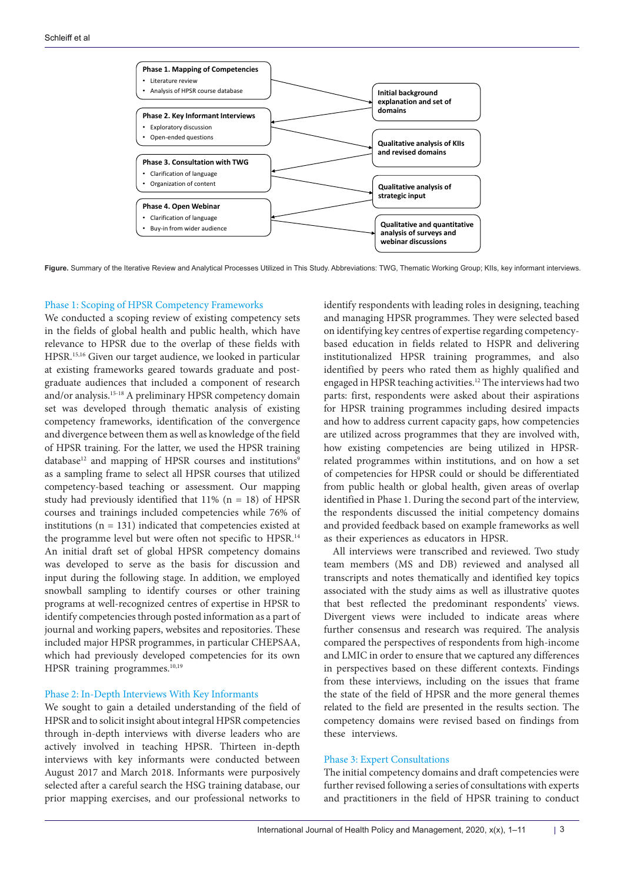

**Figure.** Summary of the Iterative Review and Analytical Processes Utilized in This Study. Abbreviations: TWG, Thematic Working Group; KIIs, key informant interviews.

#### Phase 1: Scoping of HPSR Competency Frameworks

We conducted a scoping review of existing competency sets in the fields of global health and public health, which have relevance to HPSR due to the overlap of these fields with HPSR.15,16 Given our target audience, we looked in particular at existing frameworks geared towards graduate and postgraduate audiences that included a component of research and/or analysis.15-18 A preliminary HPSR competency domain set was developed through thematic analysis of existing competency frameworks, identification of the convergence and divergence between them as well as knowledge of the field of HPSR training. For the latter, we used the HPSR training database<sup>12</sup> and mapping of HPSR courses and institutions<sup>9</sup> as a sampling frame to select all HPSR courses that utilized competency-based teaching or assessment. Our mapping study had previously identified that  $11\%$  (n = 18) of HPSR courses and trainings included competencies while 76% of institutions ( $n = 131$ ) indicated that competencies existed at the programme level but were often not specific to HPSR.<sup>14</sup> An initial draft set of global HPSR competency domains was developed to serve as the basis for discussion and input during the following stage. In addition, we employed snowball sampling to identify courses or other training programs at well-recognized centres of expertise in HPSR to identify competencies through posted information as a part of journal and working papers, websites and repositories. These included major HPSR programmes, in particular CHEPSAA, which had previously developed competencies for its own HPSR training programmes.<sup>10,19</sup>

## Phase 2: In-Depth Interviews With Key Informants

We sought to gain a detailed understanding of the field of HPSR and to solicit insight about integral HPSR competencies through in-depth interviews with diverse leaders who are actively involved in teaching HPSR. Thirteen in-depth interviews with key informants were conducted between August 2017 and March 2018. Informants were purposively selected after a careful search the HSG training database, our prior mapping exercises, and our professional networks to identify respondents with leading roles in designing, teaching and managing HPSR programmes. They were selected based on identifying key centres of expertise regarding competencybased education in fields related to HSPR and delivering institutionalized HPSR training programmes, and also identified by peers who rated them as highly qualified and engaged in HPSR teaching activities.12 The interviews had two parts: first, respondents were asked about their aspirations for HPSR training programmes including desired impacts and how to address current capacity gaps, how competencies are utilized across programmes that they are involved with, how existing competencies are being utilized in HPSRrelated programmes within institutions, and on how a set of competencies for HPSR could or should be differentiated from public health or global health, given areas of overlap identified in Phase 1. During the second part of the interview, the respondents discussed the initial competency domains and provided feedback based on example frameworks as well as their experiences as educators in HPSR.

All interviews were transcribed and reviewed. Two study team members (MS and DB) reviewed and analysed all transcripts and notes thematically and identified key topics associated with the study aims as well as illustrative quotes that best reflected the predominant respondents' views. Divergent views were included to indicate areas where further consensus and research was required. The analysis compared the perspectives of respondents from high-income and LMIC in order to ensure that we captured any differences in perspectives based on these different contexts. Findings from these interviews, including on the issues that frame the state of the field of HPSR and the more general themes related to the field are presented in the results section. The competency domains were revised based on findings from these interviews.

## Phase 3: Expert Consultations

The initial competency domains and draft competencies were further revised following a series of consultations with experts and practitioners in the field of HPSR training to conduct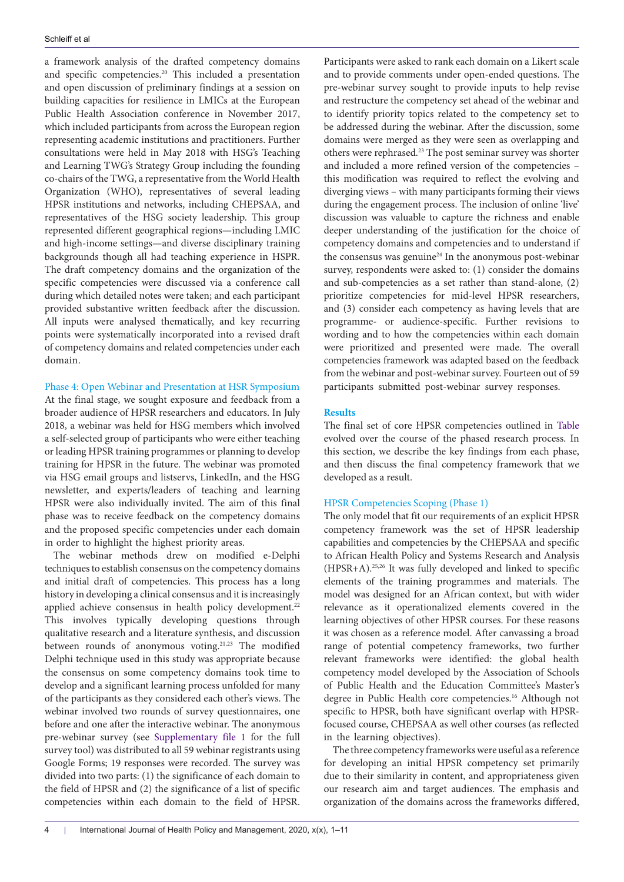a framework analysis of the drafted competency domains and specific competencies.20 This included a presentation and open discussion of preliminary findings at a session on building capacities for resilience in LMICs at the European Public Health Association conference in November 2017, which included participants from across the European region representing academic institutions and practitioners. Further consultations were held in May 2018 with HSG's Teaching and Learning TWG's Strategy Group including the founding co-chairs of the TWG, a representative from the World Health Organization (WHO), representatives of several leading HPSR institutions and networks, including CHEPSAA, and representatives of the HSG society leadership. This group represented different geographical regions—including LMIC and high-income settings—and diverse disciplinary training backgrounds though all had teaching experience in HSPR. The draft competency domains and the organization of the specific competencies were discussed via a conference call during which detailed notes were taken; and each participant provided substantive written feedback after the discussion. All inputs were analysed thematically, and key recurring points were systematically incorporated into a revised draft of competency domains and related competencies under each domain.

# Phase 4: Open Webinar and Presentation at HSR Symposium

At the final stage, we sought exposure and feedback from a broader audience of HPSR researchers and educators. In July 2018, a webinar was held for HSG members which involved a self-selected group of participants who were either teaching or leading HPSR training programmes or planning to develop training for HPSR in the future. The webinar was promoted via HSG email groups and listservs, LinkedIn, and the HSG newsletter, and experts/leaders of teaching and learning HPSR were also individually invited. The aim of this final phase was to receive feedback on the competency domains and the proposed specific competencies under each domain in order to highlight the highest priority areas.

The webinar methods drew on modified e-Delphi techniques to establish consensus on the competency domains and initial draft of competencies. This process has a long history in developing a clinical consensus and it is increasingly applied achieve consensus in health policy development.<sup>22</sup> This involves typically developing questions through qualitative research and a literature synthesis, and discussion between rounds of anonymous voting.21,23 The modified Delphi technique used in this study was appropriate because the consensus on some competency domains took time to develop and a significant learning process unfolded for many of the participants as they considered each other's views. The webinar involved two rounds of survey questionnaires, one before and one after the interactive webinar. The anonymous pre-webinar survey (see [Supplementary file 1](#page-9-0) for the full survey tool) was distributed to all 59 webinar registrants using Google Forms; 19 responses were recorded. The survey was divided into two parts: (1) the significance of each domain to the field of HPSR and (2) the significance of a list of specific competencies within each domain to the field of HPSR.

Participants were asked to rank each domain on a Likert scale and to provide comments under open-ended questions. The pre-webinar survey sought to provide inputs to help revise and restructure the competency set ahead of the webinar and to identify priority topics related to the competency set to be addressed during the webinar. After the discussion, some domains were merged as they were seen as overlapping and others were rephrased.<sup>23</sup> The post seminar survey was shorter and included a more refined version of the competencies – this modification was required to reflect the evolving and diverging views – with many participants forming their views during the engagement process. The inclusion of online 'live' discussion was valuable to capture the richness and enable deeper understanding of the justification for the choice of competency domains and competencies and to understand if the consensus was genuine<sup>24</sup> In the anonymous post-webinar survey, respondents were asked to: (1) consider the domains and sub-competencies as a set rather than stand-alone, (2) prioritize competencies for mid-level HPSR researchers, and (3) consider each competency as having levels that are programme- or audience-specific. Further revisions to wording and to how the competencies within each domain were prioritized and presented were made. The overall competencies framework was adapted based on the feedback from the webinar and post-webinar survey. Fourteen out of 59 participants submitted post-webinar survey responses.

# **Results**

The final set of core HPSR competencies outlined in [Table](#page-7-0) evolved over the course of the phased research process. In this section, we describe the key findings from each phase, and then discuss the final competency framework that we developed as a result.

## HPSR Competencies Scoping (Phase 1)

The only model that fit our requirements of an explicit HPSR competency framework was the set of HPSR leadership capabilities and competencies by the CHEPSAA and specific to African Health Policy and Systems Research and Analysis (HPSR+A).25,26 It was fully developed and linked to specific elements of the training programmes and materials. The model was designed for an African context, but with wider relevance as it operationalized elements covered in the learning objectives of other HPSR courses. For these reasons it was chosen as a reference model. After canvassing a broad range of potential competency frameworks, two further relevant frameworks were identified: the global health competency model developed by the Association of Schools of Public Health and the Education Committee's Master's degree in Public Health core competencies.<sup>16</sup> Although not specific to HPSR, both have significant overlap with HPSRfocused course, CHEPSAA as well other courses (as reflected in the learning objectives).

The three competency frameworks were useful as a reference for developing an initial HPSR competency set primarily due to their similarity in content, and appropriateness given our research aim and target audiences. The emphasis and organization of the domains across the frameworks differed,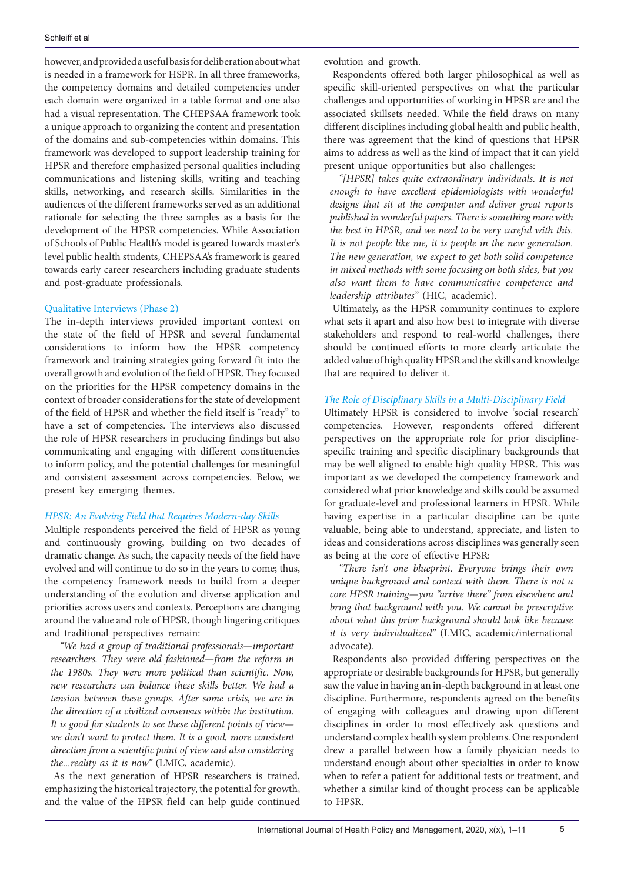however, and provided a useful basis for deliberation about what is needed in a framework for HSPR. In all three frameworks, the competency domains and detailed competencies under each domain were organized in a table format and one also had a visual representation. The CHEPSAA framework took a unique approach to organizing the content and presentation of the domains and sub-competencies within domains. This framework was developed to support leadership training for HPSR and therefore emphasized personal qualities including communications and listening skills, writing and teaching skills, networking, and research skills. Similarities in the audiences of the different frameworks served as an additional rationale for selecting the three samples as a basis for the development of the HPSR competencies. While Association of Schools of Public Health's model is geared towards master's level public health students, CHEPSAA's framework is geared towards early career researchers including graduate students and post-graduate professionals.

## Qualitative Interviews (Phase 2)

The in-depth interviews provided important context on the state of the field of HPSR and several fundamental considerations to inform how the HPSR competency framework and training strategies going forward fit into the overall growth and evolution of the field of HPSR. They focused on the priorities for the HPSR competency domains in the context of broader considerations for the state of development of the field of HPSR and whether the field itself is "ready" to have a set of competencies. The interviews also discussed the role of HPSR researchers in producing findings but also communicating and engaging with different constituencies to inform policy, and the potential challenges for meaningful and consistent assessment across competencies. Below, we present key emerging themes.

## *HPSR: An Evolving Field that Requires Modern-day Skills*

Multiple respondents perceived the field of HPSR as young and continuously growing, building on two decades of dramatic change. As such, the capacity needs of the field have evolved and will continue to do so in the years to come; thus, the competency framework needs to build from a deeper understanding of the evolution and diverse application and priorities across users and contexts. Perceptions are changing around the value and role of HPSR, though lingering critiques and traditional perspectives remain:

*"We had a group of traditional professionals—important researchers. They were old fashioned—from the reform in the 1980s. They were more political than scientific. Now, new researchers can balance these skills better. We had a tension between these groups. After some crisis, we are in the direction of a civilized consensus within the institution. It is good for students to see these different points of view we don't want to protect them. It is a good, more consistent direction from a scientific point of view and also considering the...reality as it is now"* (LMIC, academic).

As the next generation of HPSR researchers is trained, emphasizing the historical trajectory, the potential for growth, and the value of the HPSR field can help guide continued evolution and growth.

Respondents offered both larger philosophical as well as specific skill-oriented perspectives on what the particular challenges and opportunities of working in HPSR are and the associated skillsets needed. While the field draws on many different disciplines including global health and public health, there was agreement that the kind of questions that HPSR aims to address as well as the kind of impact that it can yield present unique opportunities but also challenges:

*"[HPSR] takes quite extraordinary individuals. It is not enough to have excellent epidemiologists with wonderful designs that sit at the computer and deliver great reports published in wonderful papers. There is something more with the best in HPSR, and we need to be very careful with this. It is not people like me, it is people in the new generation. The new generation, we expect to get both solid competence in mixed methods with some focusing on both sides, but you also want them to have communicative competence and leadership attributes"* (HIC, academic).

Ultimately, as the HPSR community continues to explore what sets it apart and also how best to integrate with diverse stakeholders and respond to real-world challenges, there should be continued efforts to more clearly articulate the added value of high quality HPSR and the skills and knowledge that are required to deliver it.

## *The Role of Disciplinary Skills in a Multi-Disciplinary Field*

Ultimately HPSR is considered to involve 'social research' competencies. However, respondents offered different perspectives on the appropriate role for prior disciplinespecific training and specific disciplinary backgrounds that may be well aligned to enable high quality HPSR. This was important as we developed the competency framework and considered what prior knowledge and skills could be assumed for graduate-level and professional learners in HPSR. While having expertise in a particular discipline can be quite valuable, being able to understand, appreciate, and listen to ideas and considerations across disciplines was generally seen as being at the core of effective HPSR:

*"There isn't one blueprint. Everyone brings their own unique background and context with them. There is not a core HPSR training—you "arrive there" from elsewhere and bring that background with you. We cannot be prescriptive about what this prior background should look like because it is very individualized"* (LMIC, academic/international advocate).

Respondents also provided differing perspectives on the appropriate or desirable backgrounds for HPSR, but generally saw the value in having an in-depth background in at least one discipline. Furthermore, respondents agreed on the benefits of engaging with colleagues and drawing upon different disciplines in order to most effectively ask questions and understand complex health system problems. One respondent drew a parallel between how a family physician needs to understand enough about other specialties in order to know when to refer a patient for additional tests or treatment, and whether a similar kind of thought process can be applicable to HPSR.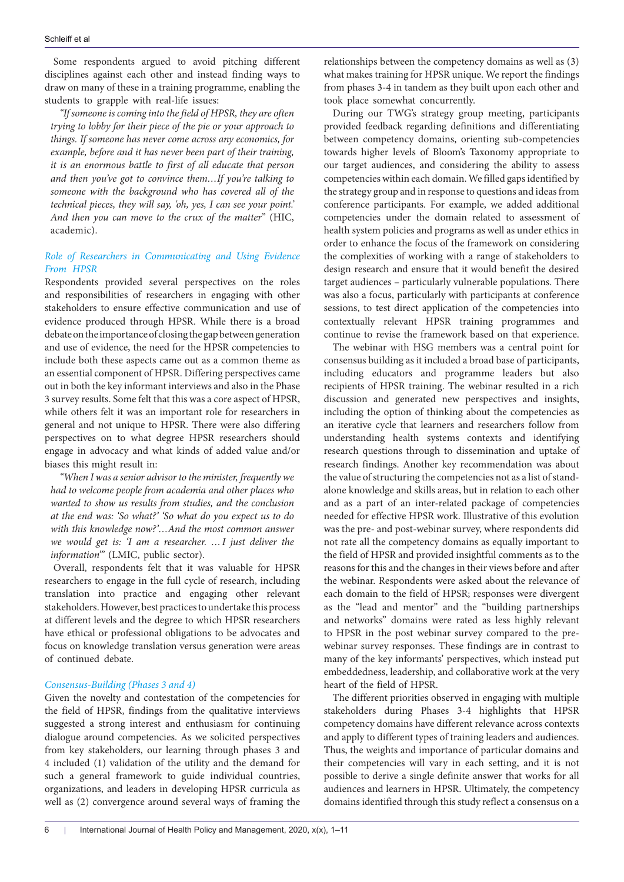Some respondents argued to avoid pitching different disciplines against each other and instead finding ways to draw on many of these in a training programme, enabling the students to grapple with real-life issues:

*"If someone is coming into the field of HPSR, they are often trying to lobby for their piece of the pie or your approach to things. If someone has never come across any economics, for example, before and it has never been part of their training, it is an enormous battle to first of all educate that person and then you've got to convince them…If you're talking to someone with the background who has covered all of the technical pieces, they will say, 'oh, yes, I can see your point.' And then you can move to the crux of the matter*" (HIC, academic).

# *Role of Researchers in Communicating and Using Evidence From HPSR*

Respondents provided several perspectives on the roles and responsibilities of researchers in engaging with other stakeholders to ensure effective communication and use of evidence produced through HPSR. While there is a broad debate on the importance of closing the gap between generation and use of evidence, the need for the HPSR competencies to include both these aspects came out as a common theme as an essential component of HPSR. Differing perspectives came out in both the key informant interviews and also in the Phase 3 survey results. Some felt that this was a core aspect of HPSR, while others felt it was an important role for researchers in general and not unique to HPSR. There were also differing perspectives on to what degree HPSR researchers should engage in advocacy and what kinds of added value and/or biases this might result in:

*"When I was a senior advisor to the minister, frequently we had to welcome people from academia and other places who wanted to show us results from studies, and the conclusion at the end was: 'So what?' 'So what do you expect us to do with this knowledge now?'…And the most common answer we would get is: 'I am a researcher. …I just deliver the information'"* (LMIC, public sector).

Overall, respondents felt that it was valuable for HPSR researchers to engage in the full cycle of research, including translation into practice and engaging other relevant stakeholders. However, best practices to undertake this process at different levels and the degree to which HPSR researchers have ethical or professional obligations to be advocates and focus on knowledge translation versus generation were areas of continued debate.

#### *Consensus-Building (Phases 3 and 4)*

Given the novelty and contestation of the competencies for the field of HPSR, findings from the qualitative interviews suggested a strong interest and enthusiasm for continuing dialogue around competencies. As we solicited perspectives from key stakeholders, our learning through phases 3 and 4 included (1) validation of the utility and the demand for such a general framework to guide individual countries, organizations, and leaders in developing HPSR curricula as well as (2) convergence around several ways of framing the

relationships between the competency domains as well as (3) what makes training for HPSR unique. We report the findings from phases 3-4 in tandem as they built upon each other and took place somewhat concurrently.

During our TWG's strategy group meeting, participants provided feedback regarding definitions and differentiating between competency domains, orienting sub-competencies towards higher levels of Bloom's Taxonomy appropriate to our target audiences, and considering the ability to assess competencies within each domain. We filled gaps identified by the strategy group and in response to questions and ideas from conference participants. For example, we added additional competencies under the domain related to assessment of health system policies and programs as well as under ethics in order to enhance the focus of the framework on considering the complexities of working with a range of stakeholders to design research and ensure that it would benefit the desired target audiences – particularly vulnerable populations. There was also a focus, particularly with participants at conference sessions, to test direct application of the competencies into contextually relevant HPSR training programmes and continue to revise the framework based on that experience.

The webinar with HSG members was a central point for consensus building as it included a broad base of participants, including educators and programme leaders but also recipients of HPSR training. The webinar resulted in a rich discussion and generated new perspectives and insights, including the option of thinking about the competencies as an iterative cycle that learners and researchers follow from understanding health systems contexts and identifying research questions through to dissemination and uptake of research findings. Another key recommendation was about the value of structuring the competencies not as a list of standalone knowledge and skills areas, but in relation to each other and as a part of an inter-related package of competencies needed for effective HPSR work. Illustrative of this evolution was the pre- and post-webinar survey, where respondents did not rate all the competency domains as equally important to the field of HPSR and provided insightful comments as to the reasons for this and the changes in their views before and after the webinar. Respondents were asked about the relevance of each domain to the field of HPSR; responses were divergent as the "lead and mentor" and the "building partnerships and networks" domains were rated as less highly relevant to HPSR in the post webinar survey compared to the prewebinar survey responses. These findings are in contrast to many of the key informants' perspectives, which instead put embeddedness, leadership, and collaborative work at the very heart of the field of HPSR.

The different priorities observed in engaging with multiple stakeholders during Phases 3-4 highlights that HPSR competency domains have different relevance across contexts and apply to different types of training leaders and audiences. Thus, the weights and importance of particular domains and their competencies will vary in each setting, and it is not possible to derive a single definite answer that works for all audiences and learners in HPSR. Ultimately, the competency domains identified through this study reflect a consensus on a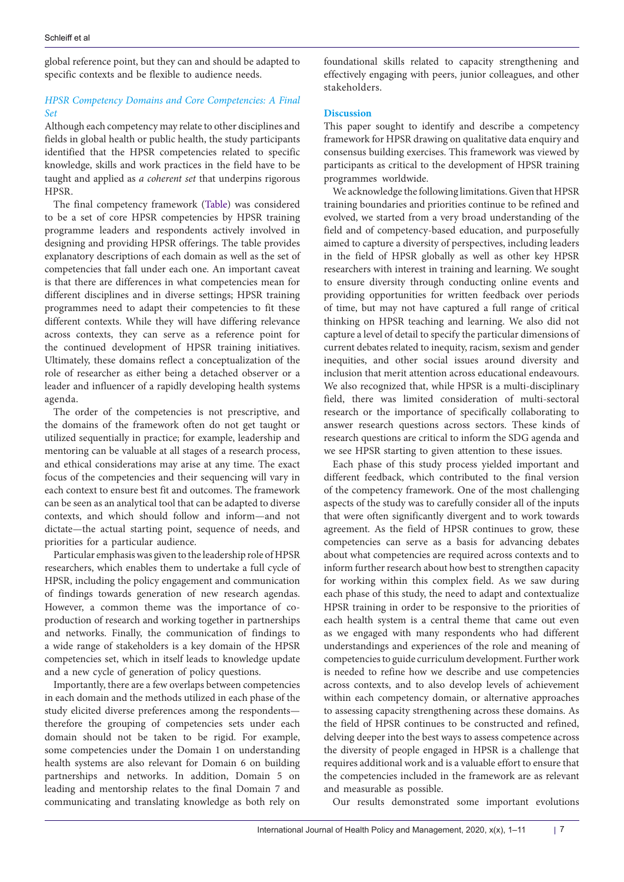global reference point, but they can and should be adapted to specific contexts and be flexible to audience needs.

# *HPSR Competency Domains and Core Competencies: A Final Set*

Although each competency may relate to other disciplines and fields in global health or public health, the study participants identified that the HPSR competencies related to specific knowledge, skills and work practices in the field have to be taught and applied as *a coherent set* that underpins rigorous HPSR.

The final competency framework ([Table\)](#page-7-0) was considered to be a set of core HPSR competencies by HPSR training programme leaders and respondents actively involved in designing and providing HPSR offerings. The table provides explanatory descriptions of each domain as well as the set of competencies that fall under each one. An important caveat is that there are differences in what competencies mean for different disciplines and in diverse settings; HPSR training programmes need to adapt their competencies to fit these different contexts. While they will have differing relevance across contexts, they can serve as a reference point for the continued development of HPSR training initiatives. Ultimately, these domains reflect a conceptualization of the role of researcher as either being a detached observer or a leader and influencer of a rapidly developing health systems agenda.

The order of the competencies is not prescriptive, and the domains of the framework often do not get taught or utilized sequentially in practice; for example, leadership and mentoring can be valuable at all stages of a research process, and ethical considerations may arise at any time. The exact focus of the competencies and their sequencing will vary in each context to ensure best fit and outcomes. The framework can be seen as an analytical tool that can be adapted to diverse contexts, and which should follow and inform—and not dictate—the actual starting point, sequence of needs, and priorities for a particular audience.

Particular emphasis was given to the leadership role of HPSR researchers, which enables them to undertake a full cycle of HPSR, including the policy engagement and communication of findings towards generation of new research agendas. However, a common theme was the importance of coproduction of research and working together in partnerships and networks. Finally, the communication of findings to a wide range of stakeholders is a key domain of the HPSR competencies set, which in itself leads to knowledge update and a new cycle of generation of policy questions.

Importantly, there are a few overlaps between competencies in each domain and the methods utilized in each phase of the study elicited diverse preferences among the respondents therefore the grouping of competencies sets under each domain should not be taken to be rigid. For example, some competencies under the Domain 1 on understanding health systems are also relevant for Domain 6 on building partnerships and networks. In addition, Domain 5 on leading and mentorship relates to the final Domain 7 and communicating and translating knowledge as both rely on

foundational skills related to capacity strengthening and effectively engaging with peers, junior colleagues, and other stakeholders.

# **Discussion**

This paper sought to identify and describe a competency framework for HPSR drawing on qualitative data enquiry and consensus building exercises. This framework was viewed by participants as critical to the development of HPSR training programmes worldwide.

We acknowledge the following limitations. Given that HPSR training boundaries and priorities continue to be refined and evolved, we started from a very broad understanding of the field and of competency-based education, and purposefully aimed to capture a diversity of perspectives, including leaders in the field of HPSR globally as well as other key HPSR researchers with interest in training and learning. We sought to ensure diversity through conducting online events and providing opportunities for written feedback over periods of time, but may not have captured a full range of critical thinking on HPSR teaching and learning. We also did not capture a level of detail to specify the particular dimensions of current debates related to inequity, racism, sexism and gender inequities, and other social issues around diversity and inclusion that merit attention across educational endeavours. We also recognized that, while HPSR is a multi-disciplinary field, there was limited consideration of multi-sectoral research or the importance of specifically collaborating to answer research questions across sectors. These kinds of research questions are critical to inform the SDG agenda and we see HPSR starting to given attention to these issues.

Each phase of this study process yielded important and different feedback, which contributed to the final version of the competency framework. One of the most challenging aspects of the study was to carefully consider all of the inputs that were often significantly divergent and to work towards agreement. As the field of HPSR continues to grow, these competencies can serve as a basis for advancing debates about what competencies are required across contexts and to inform further research about how best to strengthen capacity for working within this complex field. As we saw during each phase of this study, the need to adapt and contextualize HPSR training in order to be responsive to the priorities of each health system is a central theme that came out even as we engaged with many respondents who had different understandings and experiences of the role and meaning of competencies to guide curriculum development. Further work is needed to refine how we describe and use competencies across contexts, and to also develop levels of achievement within each competency domain, or alternative approaches to assessing capacity strengthening across these domains. As the field of HPSR continues to be constructed and refined, delving deeper into the best ways to assess competence across the diversity of people engaged in HPSR is a challenge that requires additional work and is a valuable effort to ensure that the competencies included in the framework are as relevant and measurable as possible.

Our results demonstrated some important evolutions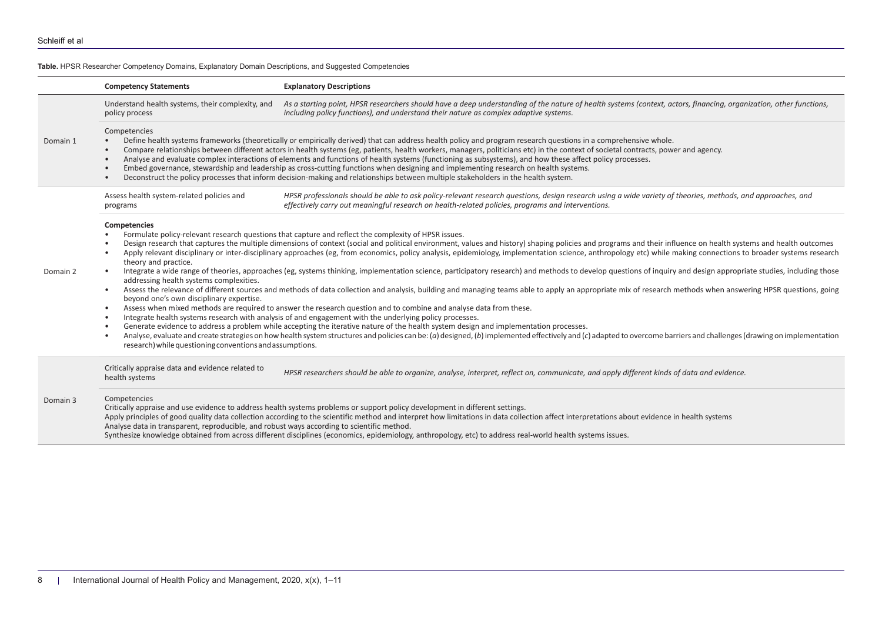**Table.** HPSR Researcher Competency Domains, Explanatory Domain Descriptions, and Suggested Competencies

<span id="page-7-0"></span>

|          | <b>Competency Statements</b>                                                                                                                                                                                                                                                                                                                                                                                                                                                                                                                                                                                                                                                                                                                                                                                                                                                                                                                                                                                                                                                                                                                                                                                                                                                                                                                                                                                                                                                                                                                                                                                                                                                                                                                                                                                                                                                                       | <b>Explanatory Descriptions</b>                                                                                                                                                                                                                                                                                                                                                                                                                                                           |
|----------|----------------------------------------------------------------------------------------------------------------------------------------------------------------------------------------------------------------------------------------------------------------------------------------------------------------------------------------------------------------------------------------------------------------------------------------------------------------------------------------------------------------------------------------------------------------------------------------------------------------------------------------------------------------------------------------------------------------------------------------------------------------------------------------------------------------------------------------------------------------------------------------------------------------------------------------------------------------------------------------------------------------------------------------------------------------------------------------------------------------------------------------------------------------------------------------------------------------------------------------------------------------------------------------------------------------------------------------------------------------------------------------------------------------------------------------------------------------------------------------------------------------------------------------------------------------------------------------------------------------------------------------------------------------------------------------------------------------------------------------------------------------------------------------------------------------------------------------------------------------------------------------------------|-------------------------------------------------------------------------------------------------------------------------------------------------------------------------------------------------------------------------------------------------------------------------------------------------------------------------------------------------------------------------------------------------------------------------------------------------------------------------------------------|
| Domain 1 | Understand health systems, their complexity, and<br>policy process                                                                                                                                                                                                                                                                                                                                                                                                                                                                                                                                                                                                                                                                                                                                                                                                                                                                                                                                                                                                                                                                                                                                                                                                                                                                                                                                                                                                                                                                                                                                                                                                                                                                                                                                                                                                                                 | As a starting point, HPSR researchers should have a deep understanding of the nature of health systems (context, actors, financing, organization, other functions,<br>including policy functions), and understand their nature as complex adaptive systems.                                                                                                                                                                                                                               |
|          | Competencies<br>Define health systems frameworks (theoretically or empirically derived) that can address health policy and program research questions in a comprehensive whole.<br>$\bullet$<br>Compare relationships between different actors in health systems (eg, patients, health workers, managers, politicians etc) in the context of societal contracts, power and agency.<br>$\bullet$<br>Analyse and evaluate complex interactions of elements and functions of health systems (functioning as subsystems), and how these affect policy processes.<br>$\bullet$<br>Embed governance, stewardship and leadership as cross-cutting functions when designing and implementing research on health systems.<br>$\bullet$<br>Deconstruct the policy processes that inform decision-making and relationships between multiple stakeholders in the health system.<br>$\bullet$                                                                                                                                                                                                                                                                                                                                                                                                                                                                                                                                                                                                                                                                                                                                                                                                                                                                                                                                                                                                                   |                                                                                                                                                                                                                                                                                                                                                                                                                                                                                           |
| Domain 2 | Assess health system-related policies and<br>programs                                                                                                                                                                                                                                                                                                                                                                                                                                                                                                                                                                                                                                                                                                                                                                                                                                                                                                                                                                                                                                                                                                                                                                                                                                                                                                                                                                                                                                                                                                                                                                                                                                                                                                                                                                                                                                              | HPSR professionals should be able to ask policy-relevant research questions, design research using a wide variety of theories, methods, and approaches, and<br>effectively carry out meaningful research on health-related policies, programs and interventions.                                                                                                                                                                                                                          |
|          | Competencies<br>Formulate policy-relevant research questions that capture and reflect the complexity of HPSR issues.<br>$\bullet$<br>Design research that captures the multiple dimensions of context (social and political environment, values and history) shaping policies and programs and their influence on health systems and health outcomes<br>$\bullet$<br>Apply relevant disciplinary or inter-disciplinary approaches (eg, from economics, policy analysis, epidemiology, implementation science, anthropology etc) while making connections to broader systems research<br>$\bullet$<br>theory and practice.<br>Integrate a wide range of theories, approaches (eg, systems thinking, implementation science, participatory research) and methods to develop questions of inquiry and design appropriate studies, including those<br>$\bullet$<br>addressing health systems complexities.<br>Assess the relevance of different sources and methods of data collection and analysis, building and managing teams able to apply an appropriate mix of research methods when answering HPSR questions, going<br>$\bullet$<br>beyond one's own disciplinary expertise.<br>Assess when mixed methods are required to answer the research question and to combine and analyse data from these.<br>$\bullet$<br>Integrate health systems research with analysis of and engagement with the underlying policy processes.<br>$\bullet$<br>Generate evidence to address a problem while accepting the iterative nature of the health system design and implementation processes.<br>$\bullet$<br>Analyse, evaluate and create strategies on how health system structures and policies can be: (a) designed, (b) implemented effectively and (c) adapted to overcome barriers and challenges (drawing on implementation<br>$\bullet$<br>research) while questioning conventions and assumptions. |                                                                                                                                                                                                                                                                                                                                                                                                                                                                                           |
| Domain 3 | Critically appraise data and evidence related to<br>health systems                                                                                                                                                                                                                                                                                                                                                                                                                                                                                                                                                                                                                                                                                                                                                                                                                                                                                                                                                                                                                                                                                                                                                                                                                                                                                                                                                                                                                                                                                                                                                                                                                                                                                                                                                                                                                                 | HPSR researchers should be able to organize, analyse, interpret, reflect on, communicate, and apply different kinds of data and evidence.                                                                                                                                                                                                                                                                                                                                                 |
|          | Competencies<br>Analyse data in transparent, reproducible, and robust ways according to scientific method.                                                                                                                                                                                                                                                                                                                                                                                                                                                                                                                                                                                                                                                                                                                                                                                                                                                                                                                                                                                                                                                                                                                                                                                                                                                                                                                                                                                                                                                                                                                                                                                                                                                                                                                                                                                         | Critically appraise and use evidence to address health systems problems or support policy development in different settings.<br>Apply principles of good quality data collection according to the scientific method and interpret how limitations in data collection affect interpretations about evidence in health systems<br>Synthesize knowledge obtained from across different disciplines (economics, epidemiology, anthropology, etc) to address real-world health systems issues. |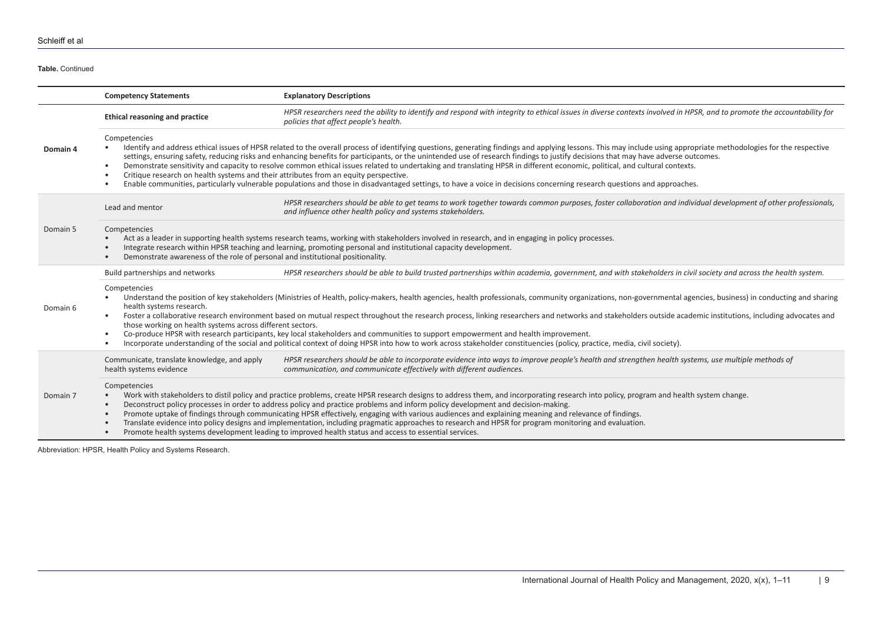**Table.** Continued

|          | <b>Competency Statements</b>                                                                                                                                                                                                                                                                                                                                                                      | <b>Explanatory Descriptions</b>                                                                                                                                                                                                                                                                                                                                                                                                                                                                                                                                                                                                                                                                                                                                   |
|----------|---------------------------------------------------------------------------------------------------------------------------------------------------------------------------------------------------------------------------------------------------------------------------------------------------------------------------------------------------------------------------------------------------|-------------------------------------------------------------------------------------------------------------------------------------------------------------------------------------------------------------------------------------------------------------------------------------------------------------------------------------------------------------------------------------------------------------------------------------------------------------------------------------------------------------------------------------------------------------------------------------------------------------------------------------------------------------------------------------------------------------------------------------------------------------------|
| Domain 4 | <b>Ethical reasoning and practice</b>                                                                                                                                                                                                                                                                                                                                                             | HPSR researchers need the ability to identify and respond with integrity to ethical issues in diverse contexts involved in HPSR, and to promote the accountability for<br>policies that affect people's health.                                                                                                                                                                                                                                                                                                                                                                                                                                                                                                                                                   |
|          | Competencies<br>$\bullet$<br>$\bullet$<br>Critique research on health systems and their attributes from an equity perspective.<br>$\bullet$                                                                                                                                                                                                                                                       | Identify and address ethical issues of HPSR related to the overall process of identifying questions, generating findings and applying lessons. This may include using appropriate methodologies for the respective<br>settings, ensuring safety, reducing risks and enhancing benefits for participants, or the unintended use of research findings to justify decisions that may have adverse outcomes.<br>Demonstrate sensitivity and capacity to resolve common ethical issues related to undertaking and translating HPSR in different economic, political, and cultural contexts.<br>Enable communities, particularly vulnerable populations and those in disadvantaged settings, to have a voice in decisions concerning research questions and approaches. |
| Domain 5 | Lead and mentor                                                                                                                                                                                                                                                                                                                                                                                   | HPSR researchers should be able to get teams to work together towards common purposes, foster collaboration and individual development of other professionals,<br>and influence other health policy and systems stakeholders.                                                                                                                                                                                                                                                                                                                                                                                                                                                                                                                                     |
|          | Competencies<br>Act as a leader in supporting health systems research teams, working with stakeholders involved in research, and in engaging in policy processes.<br>Integrate research within HPSR teaching and learning, promoting personal and institutional capacity development.<br>$\bullet$<br>Demonstrate awareness of the role of personal and institutional positionality.<br>$\bullet$ |                                                                                                                                                                                                                                                                                                                                                                                                                                                                                                                                                                                                                                                                                                                                                                   |
|          | Build partnerships and networks                                                                                                                                                                                                                                                                                                                                                                   | HPSR researchers should be able to build trusted partnerships within academia, government, and with stakeholders in civil society and across the health system.                                                                                                                                                                                                                                                                                                                                                                                                                                                                                                                                                                                                   |
| Domain 6 | Competencies<br>health systems research.<br>$\bullet$<br>those working on health systems across different sectors.<br>$\bullet$                                                                                                                                                                                                                                                                   | Understand the position of key stakeholders (Ministries of Health, policy-makers, health agencies, health professionals, community organizations, non-governmental agencies, business) in conducting and sharing<br>Foster a collaborative research environment based on mutual respect throughout the research process, linking researchers and networks and stakeholders outside academic institutions, including advocates and<br>Co-produce HPSR with research participants, key local stakeholders and communities to support empowerment and health improvement.<br>Incorporate understanding of the social and political context of doing HPSR into how to work across stakeholder constituencies (policy, practice, media, civil society).                |
| Domain 7 | Communicate, translate knowledge, and apply<br>health systems evidence                                                                                                                                                                                                                                                                                                                            | HPSR researchers should be able to incorporate evidence into ways to improve people's health and strengthen health systems, use multiple methods of<br>communication, and communicate effectively with different audiences.                                                                                                                                                                                                                                                                                                                                                                                                                                                                                                                                       |
|          | Competencies<br>$\bullet$<br>$\bullet$<br>$\bullet$                                                                                                                                                                                                                                                                                                                                               | Work with stakeholders to distil policy and practice problems, create HPSR research designs to address them, and incorporating research into policy, program and health system change.<br>Deconstruct policy processes in order to address policy and practice problems and inform policy development and decision-making.<br>Promote uptake of findings through communicating HPSR effectively, engaging with various audiences and explaining meaning and relevance of findings.<br>Translate evidence into policy designs and implementation, including pragmatic approaches to research and HPSR for program monitoring and evaluation.<br>Promote health systems development leading to improved health status and access to essential services.             |

Abbreviation: HPSR, Health Policy and Systems Research.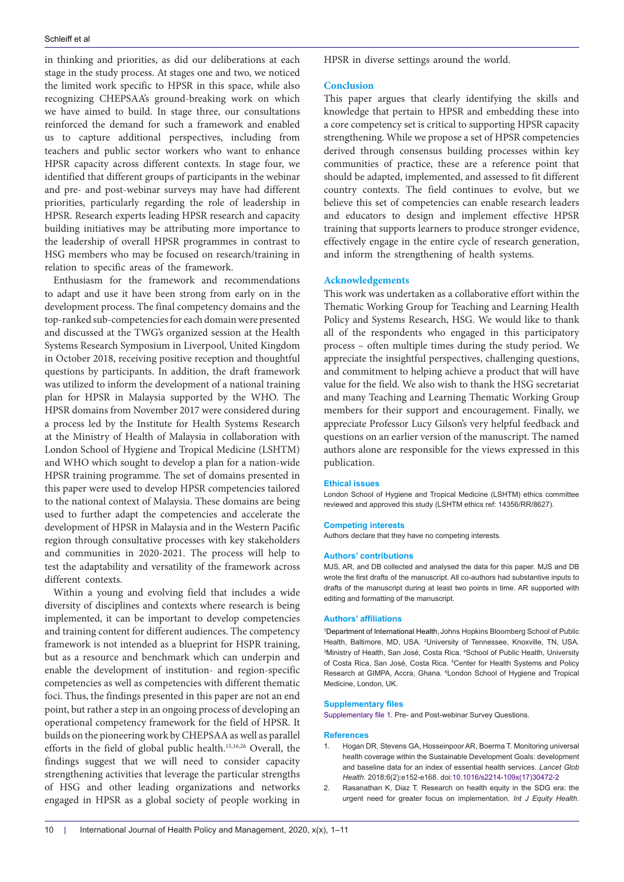in thinking and priorities, as did our deliberations at each stage in the study process. At stages one and two, we noticed the limited work specific to HPSR in this space, while also recognizing CHEPSAA's ground-breaking work on which we have aimed to build. In stage three, our consultations reinforced the demand for such a framework and enabled us to capture additional perspectives, including from teachers and public sector workers who want to enhance HPSR capacity across different contexts. In stage four, we identified that different groups of participants in the webinar and pre- and post-webinar surveys may have had different priorities, particularly regarding the role of leadership in HPSR. Research experts leading HPSR research and capacity building initiatives may be attributing more importance to the leadership of overall HPSR programmes in contrast to HSG members who may be focused on research/training in relation to specific areas of the framework.

Enthusiasm for the framework and recommendations to adapt and use it have been strong from early on in the development process. The final competency domains and the top-ranked sub-competencies for each domain were presented and discussed at the TWG's organized session at the Health Systems Research Symposium in Liverpool, United Kingdom in October 2018, receiving positive reception and thoughtful questions by participants. In addition, the draft framework was utilized to inform the development of a national training plan for HPSR in Malaysia supported by the WHO. The HPSR domains from November 2017 were considered during a process led by the Institute for Health Systems Research at the Ministry of Health of Malaysia in collaboration with London School of Hygiene and Tropical Medicine (LSHTM) and WHO which sought to develop a plan for a nation-wide HPSR training programme. The set of domains presented in this paper were used to develop HPSR competencies tailored to the national context of Malaysia. These domains are being used to further adapt the competencies and accelerate the development of HPSR in Malaysia and in the Western Pacific region through consultative processes with key stakeholders and communities in 2020-2021. The process will help to test the adaptability and versatility of the framework across different contexts.

Within a young and evolving field that includes a wide diversity of disciplines and contexts where research is being implemented, it can be important to develop competencies and training content for different audiences. The competency framework is not intended as a blueprint for HSPR training, but as a resource and benchmark which can underpin and enable the development of institution- and region-specific competencies as well as competencies with different thematic foci. Thus, the findings presented in this paper are not an end point, but rather a step in an ongoing process of developing an operational competency framework for the field of HPSR. It builds on the pioneering work by CHEPSAA as well as parallel efforts in the field of global public health.15,16,26 Overall, the findings suggest that we will need to consider capacity strengthening activities that leverage the particular strengths of HSG and other leading organizations and networks engaged in HPSR as a global society of people working in

HPSR in diverse settings around the world.

#### **Conclusion**

This paper argues that clearly identifying the skills and knowledge that pertain to HPSR and embedding these into a core competency set is critical to supporting HPSR capacity strengthening. While we propose a set of HPSR competencies derived through consensus building processes within key communities of practice, these are a reference point that should be adapted, implemented, and assessed to fit different country contexts. The field continues to evolve, but we believe this set of competencies can enable research leaders and educators to design and implement effective HPSR training that supports learners to produce stronger evidence, effectively engage in the entire cycle of research generation, and inform the strengthening of health systems.

#### **Acknowledgements**

This work was undertaken as a collaborative effort within the Thematic Working Group for Teaching and Learning Health Policy and Systems Research, HSG. We would like to thank all of the respondents who engaged in this participatory process – often multiple times during the study period. We appreciate the insightful perspectives, challenging questions, and commitment to helping achieve a product that will have value for the field. We also wish to thank the HSG secretariat and many Teaching and Learning Thematic Working Group members for their support and encouragement. Finally, we appreciate Professor Lucy Gilson's very helpful feedback and questions on an earlier version of the manuscript. The named authors alone are responsible for the views expressed in this publication.

#### **Ethical issues**

London School of Hygiene and Tropical Medicine (LSHTM) ethics committee reviewed and approved this study (LSHTM ethics ref: 14356/RR/8627).

#### **Competing interests**

Authors declare that they have no competing interests.

#### **Authors' contributions**

MJS, AR, and DB collected and analysed the data for this paper. MJS and DB wrote the first drafts of the manuscript. All co-authors had substantive inputs to drafts of the manuscript during at least two points in time. AR supported with editing and formatting of the manuscript.

#### **Authors' affiliations**

1 Department of International Health, Johns Hopkins Bloomberg School of Public Health, Baltimore, MD, USA. <sup>2</sup>University of Tennessee, Knoxville, TN, USA. 3 Ministry of Health, San José, Costa Rica. 4 School of Public Health, University of Costa Rica, San José, Costa Rica. <sup>5</sup>Center for Health Systems and Policy Research at GIMPA, Accra, Ghana. <sup>6</sup> London School of Hygiene and Tropical Medicine, London, UK.

#### **Supplementary files**

<span id="page-9-0"></span>[Supplementary file 1.](https://www.ijhpm.com/jufile?ar_sfile=46999) Pre- and Post-webinar Survey Questions.

#### **References**

- 1. Hogan DR, Stevens GA, Hosseinpoor AR, Boerma T. Monitoring universal health coverage within the Sustainable Development Goals: development and baseline data for an index of essential health services. *Lancet Glob Health*. 2018;6(2):e152-e168. doi:[10.1016/s2214-109x\(17\)30472-2](https://doi.org/10.1016/s2214-109x(17)30472-2)
- 2. Rasanathan K, Diaz T. Research on health equity in the SDG era: the urgent need for greater focus on implementation. *Int J Equity Health*.